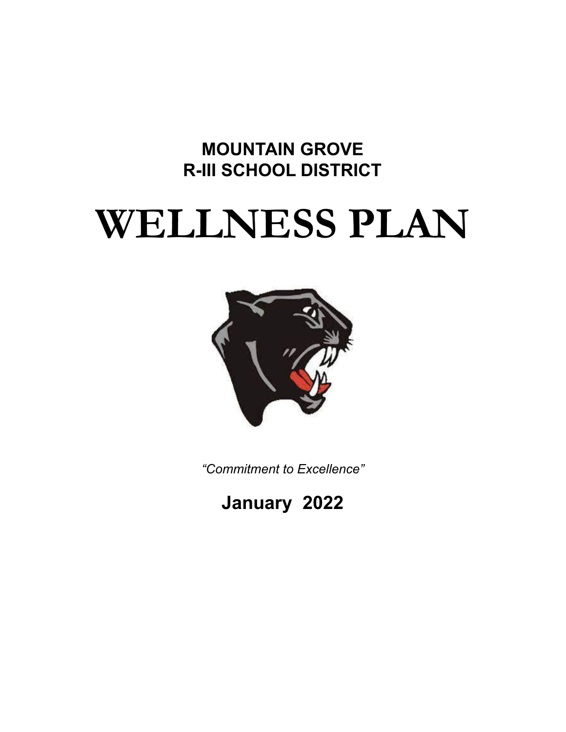# **MOUNTAIN GROVE R-III SCHOOL DISTRICT**

# **WELLNESS PLAN**



*"Commitment to Excellence"*

**January 2022**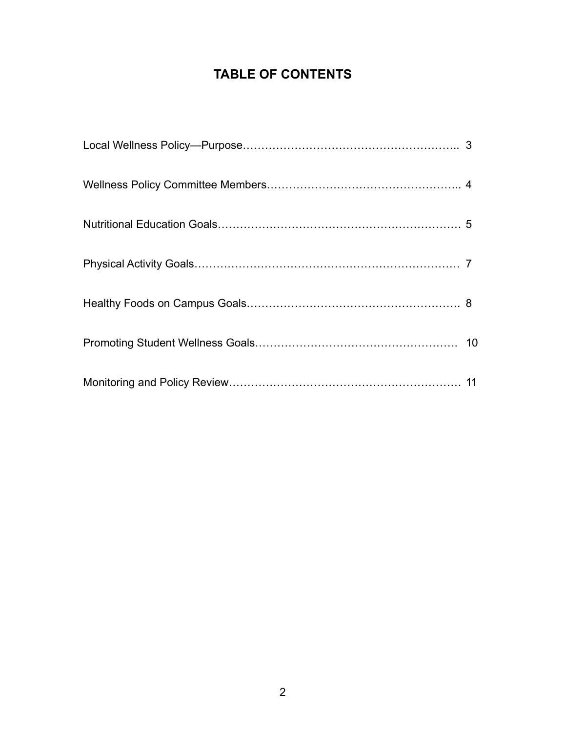# **TABLE OF CONTENTS**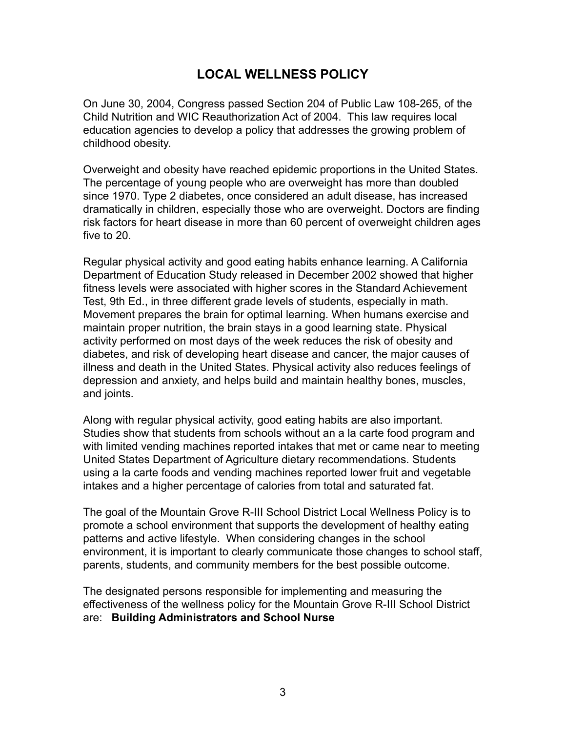# **LOCAL WELLNESS POLICY**

On June 30, 2004, Congress passed Section 204 of Public Law 108-265, of the Child Nutrition and WIC Reauthorization Act of 2004. This law requires local education agencies to develop a policy that addresses the growing problem of childhood obesity.

Overweight and obesity have reached epidemic proportions in the United States. The percentage of young people who are overweight has more than doubled since 1970. Type 2 diabetes, once considered an adult disease, has increased dramatically in children, especially those who are overweight. Doctors are finding risk factors for heart disease in more than 60 percent of overweight children ages five to 20.

Regular physical activity and good eating habits enhance learning. A California Department of Education Study released in December 2002 showed that higher fitness levels were associated with higher scores in the Standard Achievement Test, 9th Ed., in three different grade levels of students, especially in math. Movement prepares the brain for optimal learning. When humans exercise and maintain proper nutrition, the brain stays in a good learning state. Physical activity performed on most days of the week reduces the risk of obesity and diabetes, and risk of developing heart disease and cancer, the major causes of illness and death in the United States. Physical activity also reduces feelings of depression and anxiety, and helps build and maintain healthy bones, muscles, and joints.

Along with regular physical activity, good eating habits are also important. Studies show that students from schools without an a la carte food program and with limited vending machines reported intakes that met or came near to meeting United States Department of Agriculture dietary recommendations. Students using a la carte foods and vending machines reported lower fruit and vegetable intakes and a higher percentage of calories from total and saturated fat.

The goal of the Mountain Grove R-III School District Local Wellness Policy is to promote a school environment that supports the development of healthy eating patterns and active lifestyle. When considering changes in the school environment, it is important to clearly communicate those changes to school staff, parents, students, and community members for the best possible outcome.

The designated persons responsible for implementing and measuring the effectiveness of the wellness policy for the Mountain Grove R-III School District are: **Building Administrators and School Nurse**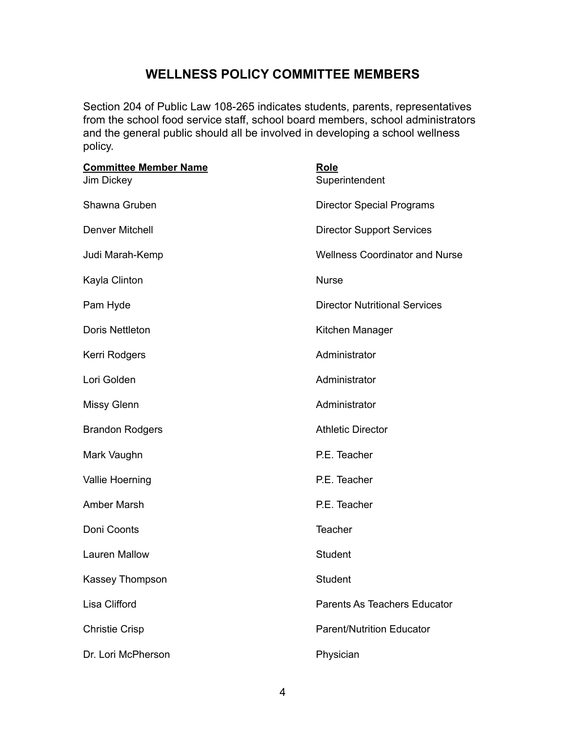# **WELLNESS POLICY COMMITTEE MEMBERS**

Section 204 of Public Law 108-265 indicates students, parents, representatives from the school food service staff, school board members, school administrators and the general public should all be involved in developing a school wellness policy.

| <b>Committee Member Name</b><br>Jim Dickey | Role<br>Superintendent                |
|--------------------------------------------|---------------------------------------|
| Shawna Gruben                              | <b>Director Special Programs</b>      |
| <b>Denver Mitchell</b>                     | <b>Director Support Services</b>      |
| Judi Marah-Kemp                            | <b>Wellness Coordinator and Nurse</b> |
| Kayla Clinton                              | <b>Nurse</b>                          |
| Pam Hyde                                   | <b>Director Nutritional Services</b>  |
| <b>Doris Nettleton</b>                     | Kitchen Manager                       |
| Kerri Rodgers                              | Administrator                         |
| Lori Golden                                | Administrator                         |
| <b>Missy Glenn</b>                         | Administrator                         |
| <b>Brandon Rodgers</b>                     | <b>Athletic Director</b>              |
| Mark Vaughn                                | P.E. Teacher                          |
| Vallie Hoerning                            | P.E. Teacher                          |
| <b>Amber Marsh</b>                         | P.E. Teacher                          |
| Doni Coonts                                | Teacher                               |
| <b>Lauren Mallow</b>                       | Student                               |
| Kassey Thompson                            | Student                               |
| Lisa Clifford                              | Parents As Teachers Educator          |
| <b>Christie Crisp</b>                      | <b>Parent/Nutrition Educator</b>      |
| Dr. Lori McPherson                         | Physician                             |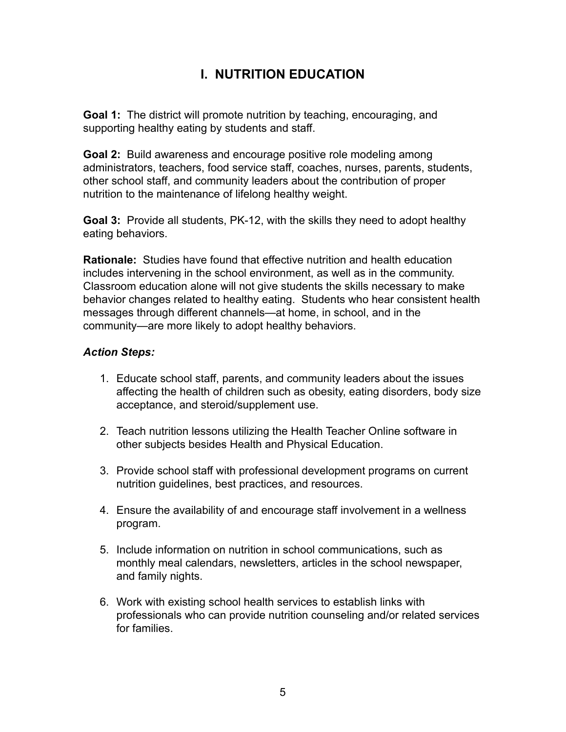# **I. NUTRITION EDUCATION**

**Goal 1:** The district will promote nutrition by teaching, encouraging, and supporting healthy eating by students and staff.

**Goal 2:** Build awareness and encourage positive role modeling among administrators, teachers, food service staff, coaches, nurses, parents, students, other school staff, and community leaders about the contribution of proper nutrition to the maintenance of lifelong healthy weight.

**Goal 3:** Provide all students, PK-12, with the skills they need to adopt healthy eating behaviors.

**Rationale:** Studies have found that effective nutrition and health education includes intervening in the school environment, as well as in the community. Classroom education alone will not give students the skills necessary to make behavior changes related to healthy eating. Students who hear consistent health messages through different channels—at home, in school, and in the community—are more likely to adopt healthy behaviors.

- 1. Educate school staff, parents, and community leaders about the issues affecting the health of children such as obesity, eating disorders, body size acceptance, and steroid/supplement use.
- 2. Teach nutrition lessons utilizing the Health Teacher Online software in other subjects besides Health and Physical Education.
- 3. Provide school staff with professional development programs on current nutrition guidelines, best practices, and resources.
- 4. Ensure the availability of and encourage staff involvement in a wellness program.
- 5. Include information on nutrition in school communications, such as monthly meal calendars, newsletters, articles in the school newspaper, and family nights.
- 6. Work with existing school health services to establish links with professionals who can provide nutrition counseling and/or related services for families.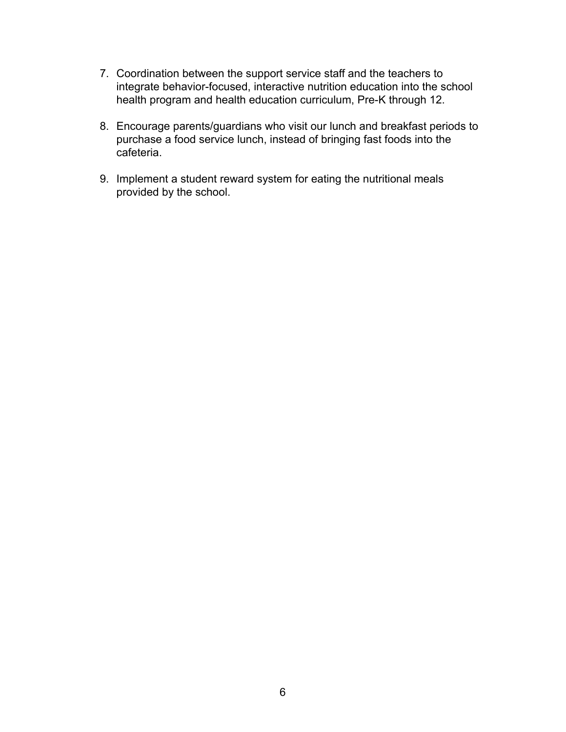- 7. Coordination between the support service staff and the teachers to integrate behavior-focused, interactive nutrition education into the school health program and health education curriculum, Pre-K through 12.
- 8. Encourage parents/guardians who visit our lunch and breakfast periods to purchase a food service lunch, instead of bringing fast foods into the cafeteria.
- 9. Implement a student reward system for eating the nutritional meals provided by the school.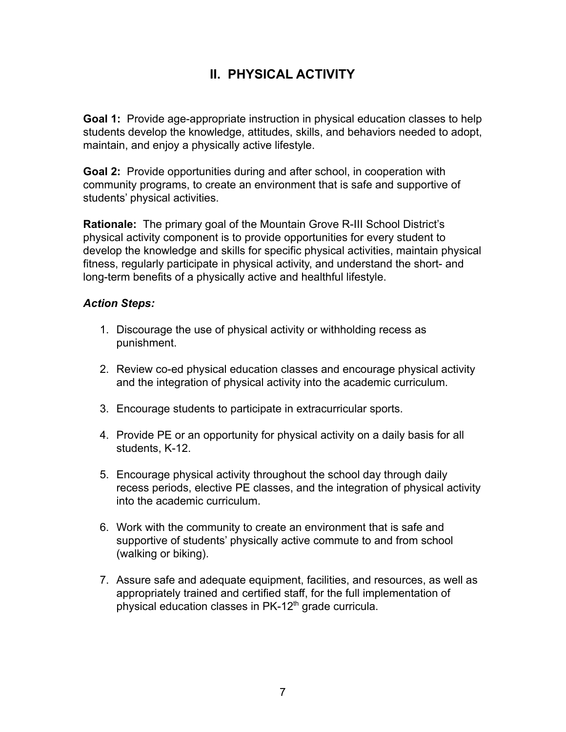# **II. PHYSICAL ACTIVITY**

**Goal 1:** Provide age-appropriate instruction in physical education classes to help students develop the knowledge, attitudes, skills, and behaviors needed to adopt, maintain, and enjoy a physically active lifestyle.

**Goal 2:** Provide opportunities during and after school, in cooperation with community programs, to create an environment that is safe and supportive of students' physical activities.

**Rationale:** The primary goal of the Mountain Grove R-III School District's physical activity component is to provide opportunities for every student to develop the knowledge and skills for specific physical activities, maintain physical fitness, regularly participate in physical activity, and understand the short- and long-term benefits of a physically active and healthful lifestyle.

- 1. Discourage the use of physical activity or withholding recess as punishment.
- 2. Review co-ed physical education classes and encourage physical activity and the integration of physical activity into the academic curriculum.
- 3. Encourage students to participate in extracurricular sports.
- 4. Provide PE or an opportunity for physical activity on a daily basis for all students, K-12.
- 5. Encourage physical activity throughout the school day through daily recess periods, elective PE classes, and the integration of physical activity into the academic curriculum.
- 6. Work with the community to create an environment that is safe and supportive of students' physically active commute to and from school (walking or biking).
- 7. Assure safe and adequate equipment, facilities, and resources, as well as appropriately trained and certified staff, for the full implementation of physical education classes in PK-12<sup>th</sup> grade curricula.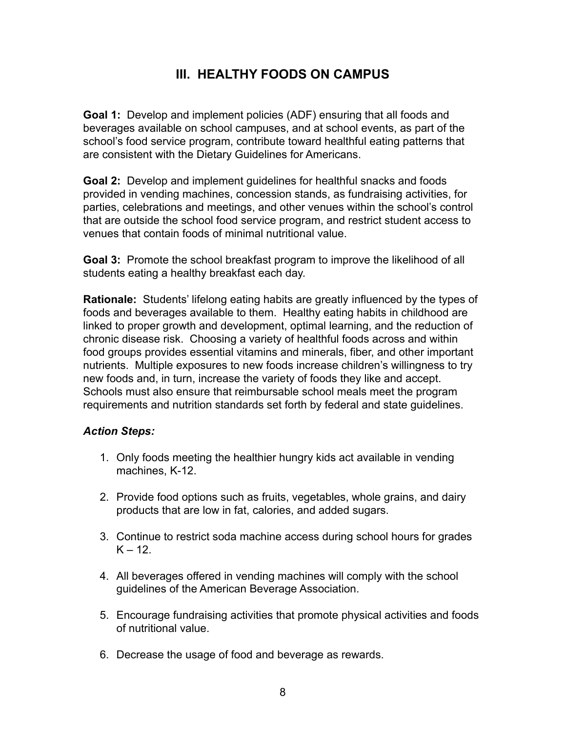# **III. HEALTHY FOODS ON CAMPUS**

**Goal 1:** Develop and implement policies (ADF) ensuring that all foods and beverages available on school campuses, and at school events, as part of the school's food service program, contribute toward healthful eating patterns that are consistent with the Dietary Guidelines for Americans.

**Goal 2:** Develop and implement guidelines for healthful snacks and foods provided in vending machines, concession stands, as fundraising activities, for parties, celebrations and meetings, and other venues within the school's control that are outside the school food service program, and restrict student access to venues that contain foods of minimal nutritional value.

**Goal 3:** Promote the school breakfast program to improve the likelihood of all students eating a healthy breakfast each day.

**Rationale:** Students' lifelong eating habits are greatly influenced by the types of foods and beverages available to them. Healthy eating habits in childhood are linked to proper growth and development, optimal learning, and the reduction of chronic disease risk. Choosing a variety of healthful foods across and within food groups provides essential vitamins and minerals, fiber, and other important nutrients. Multiple exposures to new foods increase children's willingness to try new foods and, in turn, increase the variety of foods they like and accept. Schools must also ensure that reimbursable school meals meet the program requirements and nutrition standards set forth by federal and state guidelines.

- 1. Only foods meeting the healthier hungry kids act available in vending machines, K-12.
- 2. Provide food options such as fruits, vegetables, whole grains, and dairy products that are low in fat, calories, and added sugars.
- 3. Continue to restrict soda machine access during school hours for grades  $K - 12$
- 4. All beverages offered in vending machines will comply with the school guidelines of the American Beverage Association.
- 5. Encourage fundraising activities that promote physical activities and foods of nutritional value.
- 6. Decrease the usage of food and beverage as rewards.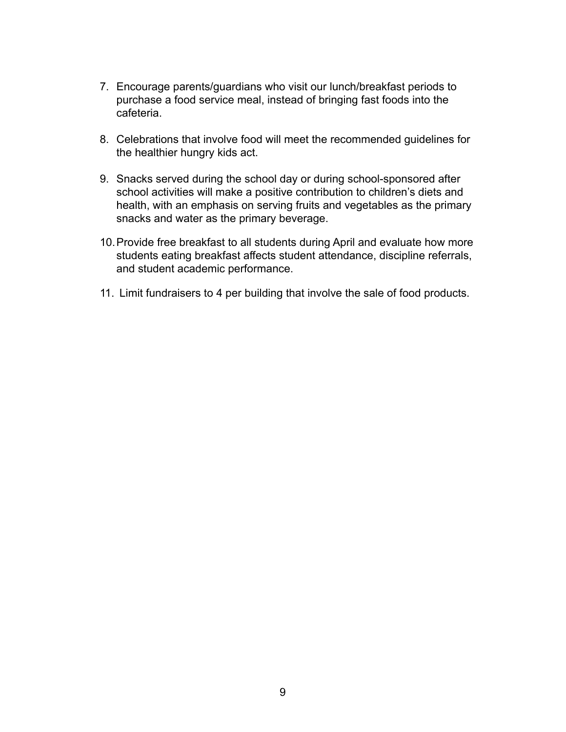- 7. Encourage parents/guardians who visit our lunch/breakfast periods to purchase a food service meal, instead of bringing fast foods into the cafeteria.
- 8. Celebrations that involve food will meet the recommended guidelines for the healthier hungry kids act.
- 9. Snacks served during the school day or during school-sponsored after school activities will make a positive contribution to children's diets and health, with an emphasis on serving fruits and vegetables as the primary snacks and water as the primary beverage.
- 10.Provide free breakfast to all students during April and evaluate how more students eating breakfast affects student attendance, discipline referrals, and student academic performance.
- 11. Limit fundraisers to 4 per building that involve the sale of food products.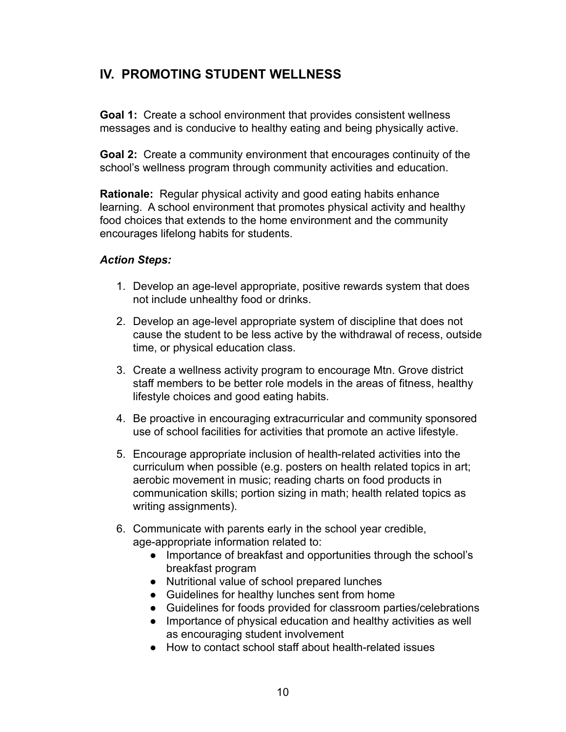# **IV. PROMOTING STUDENT WELLNESS**

**Goal 1:** Create a school environment that provides consistent wellness messages and is conducive to healthy eating and being physically active.

**Goal 2:** Create a community environment that encourages continuity of the school's wellness program through community activities and education.

**Rationale:** Regular physical activity and good eating habits enhance learning. A school environment that promotes physical activity and healthy food choices that extends to the home environment and the community encourages lifelong habits for students.

- 1. Develop an age-level appropriate, positive rewards system that does not include unhealthy food or drinks.
- 2. Develop an age-level appropriate system of discipline that does not cause the student to be less active by the withdrawal of recess, outside time, or physical education class.
- 3. Create a wellness activity program to encourage Mtn. Grove district staff members to be better role models in the areas of fitness, healthy lifestyle choices and good eating habits.
- 4. Be proactive in encouraging extracurricular and community sponsored use of school facilities for activities that promote an active lifestyle.
- 5. Encourage appropriate inclusion of health-related activities into the curriculum when possible (e.g. posters on health related topics in art; aerobic movement in music; reading charts on food products in communication skills; portion sizing in math; health related topics as writing assignments).
- 6. Communicate with parents early in the school year credible, age-appropriate information related to:
	- Importance of breakfast and opportunities through the school's breakfast program
	- Nutritional value of school prepared lunches
	- Guidelines for healthy lunches sent from home
	- Guidelines for foods provided for classroom parties/celebrations
	- Importance of physical education and healthy activities as well as encouraging student involvement
	- How to contact school staff about health-related issues